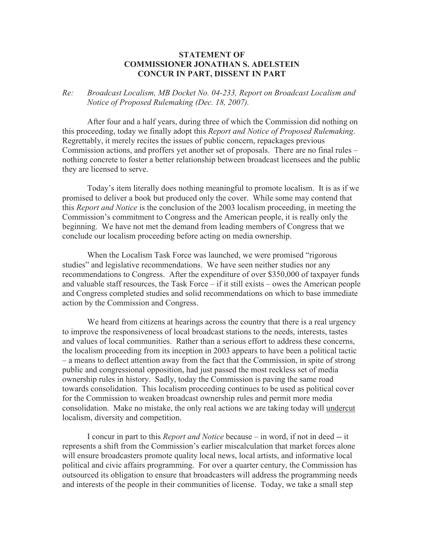## **STATEMENT OF COMMISSIONER JONATHAN S. ADELSTEIN CONCUR IN PART, DISSENT IN PART**

## *Re: Broadcast Localism, MB Docket No. 04-233, Report on Broadcast Localism and Notice of Proposed Rulemaking (Dec. 18, 2007).*

After four and a half years, during three of which the Commission did nothing on this proceeding, today we finally adopt this *Report and Notice of Proposed Rulemaking*. Regrettably, it merely recites the issues of public concern, repackages previous Commission actions, and proffers yet another set of proposals. There are no final rules – nothing concrete to foster a better relationship between broadcast licensees and the public they are licensed to serve.

Today's item literally does nothing meaningful to promote localism. It is as if we promised to deliver a book but produced only the cover. While some may contend that this *Report and Notice* is the conclusion of the 2003 localism proceeding, in meeting the Commission's commitment to Congress and the American people, it is really only the beginning. We have not met the demand from leading members of Congress that we conclude our localism proceeding before acting on media ownership.

When the Localism Task Force was launched, we were promised "rigorous studies" and legislative recommendations. We have seen neither studies nor any recommendations to Congress. After the expenditure of over \$350,000 of taxpayer funds and valuable staff resources, the Task Force – if it still exists – owes the American people and Congress completed studies and solid recommendations on which to base immediate action by the Commission and Congress.

We heard from citizens at hearings across the country that there is a real urgency to improve the responsiveness of local broadcast stations to the needs, interests, tastes and values of local communities. Rather than a serious effort to address these concerns, the localism proceeding from its inception in 2003 appears to have been a political tactic – a means to deflect attention away from the fact that the Commission, in spite of strong public and congressional opposition, had just passed the most reckless set of media ownership rules in history. Sadly, today the Commission is paving the same road towards consolidation. This localism proceeding continues to be used as political cover for the Commission to weaken broadcast ownership rules and permit more media consolidation. Make no mistake, the only real actions we are taking today will undercut localism, diversity and competition.

I concur in part to this *Report and Notice* because – in word, if not in deed -- it represents a shift from the Commission's earlier miscalculation that market forces alone will ensure broadcasters promote quality local news, local artists, and informative local political and civic affairs programming. For over a quarter century, the Commission has outsourced its obligation to ensure that broadcasters will address the programming needs and interests of the people in their communities of license. Today, we take a small step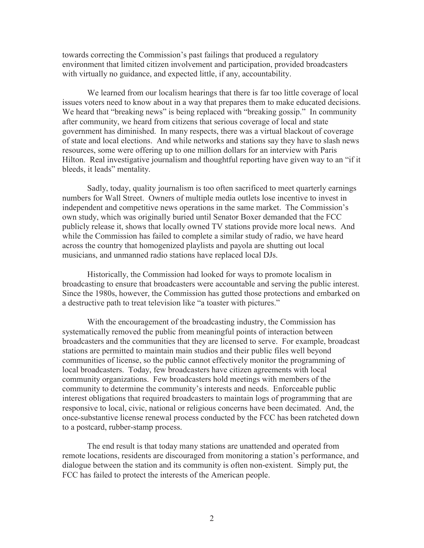towards correcting the Commission's past failings that produced a regulatory environment that limited citizen involvement and participation, provided broadcasters with virtually no guidance, and expected little, if any, accountability.

We learned from our localism hearings that there is far too little coverage of local issues voters need to know about in a way that prepares them to make educated decisions. We heard that "breaking news" is being replaced with "breaking gossip." In community after community, we heard from citizens that serious coverage of local and state government has diminished. In many respects, there was a virtual blackout of coverage of state and local elections. And while networks and stations say they have to slash news resources, some were offering up to one million dollars for an interview with Paris Hilton. Real investigative journalism and thoughtful reporting have given way to an "if it bleeds, it leads" mentality.

Sadly, today, quality journalism is too often sacrificed to meet quarterly earnings numbers for Wall Street. Owners of multiple media outlets lose incentive to invest in independent and competitive news operations in the same market. The Commission's own study, which was originally buried until Senator Boxer demanded that the FCC publicly release it, shows that locally owned TV stations provide more local news. And while the Commission has failed to complete a similar study of radio, we have heard across the country that homogenized playlists and payola are shutting out local musicians, and unmanned radio stations have replaced local DJs.

Historically, the Commission had looked for ways to promote localism in broadcasting to ensure that broadcasters were accountable and serving the public interest. Since the 1980s, however, the Commission has gutted those protections and embarked on a destructive path to treat television like "a toaster with pictures."

With the encouragement of the broadcasting industry, the Commission has systematically removed the public from meaningful points of interaction between broadcasters and the communities that they are licensed to serve. For example, broadcast stations are permitted to maintain main studios and their public files well beyond communities of license, so the public cannot effectively monitor the programming of local broadcasters. Today, few broadcasters have citizen agreements with local community organizations. Few broadcasters hold meetings with members of the community to determine the community's interests and needs. Enforceable public interest obligations that required broadcasters to maintain logs of programming that are responsive to local, civic, national or religious concerns have been decimated. And, the once-substantive license renewal process conducted by the FCC has been ratcheted down to a postcard, rubber-stamp process.

The end result is that today many stations are unattended and operated from remote locations, residents are discouraged from monitoring a station's performance, and dialogue between the station and its community is often non-existent. Simply put, the FCC has failed to protect the interests of the American people.